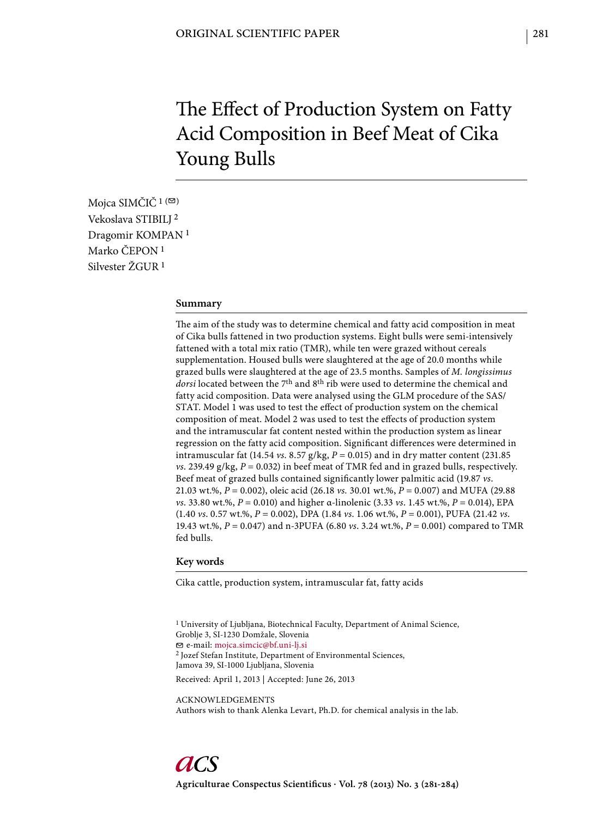# The Effect of Production System on Fatty Acid Composition in Beef Meat of Cika Young Bulls

Mojca SIMČIČ<sup>1 (⊠)</sup> Vekoslava STIBILJ 2 Dragomir KOMPAN 1 Marko ČEPON 1 Silvester ŽGUR 1

### **Summary**

The aim of the study was to determine chemical and fatty acid composition in meat of Cika bulls fattened in two production systems. Eight bulls were semi-intensively fattened with a total mix ratio (TMR), while ten were grazed without cereals supplementation. Housed bulls were slaughtered at the age of 20.0 months while grazed bulls were slaughtered at the age of 23.5 months. Samples of *M. longissimus dorsi* located between the 7th and 8th rib were used to determine the chemical and fatty acid composition. Data were analysed using the GLM procedure of the SAS/ STAT. Model 1 was used to test the effect of production system on the chemical composition of meat. Model 2 was used to test the effects of production system and the intramuscular fat content nested within the production system as linear regression on the fatty acid composition. Significant differences were determined in intramuscular fat (14.54 *vs*. 8.57 g/kg, *P* = 0.015) and in dry matter content (231.85 *vs*. 239.49 g/kg,  $P = 0.032$ ) in beef meat of TMR fed and in grazed bulls, respectively. Beef meat of grazed bulls contained significantly lower palmitic acid (19.87 *vs*. 21.03 wt.%, *P* = 0.002), oleic acid (26.18 *vs.* 30.01 wt.%, *P* = 0.007) and MUFA (29.88 *vs*. 33.80 wt.%, *P* = 0.010) and higher α-linolenic (3.33 *vs*. 1.45 wt.%, *P* = 0.014), EPA (1.40 *vs*. 0.57 wt.%, *P* = 0.002), DPA (1.84 *vs*. 1.06 wt.%, *P* = 0.001), PUFA (21.42 *vs*. 19.43 wt.%, *P* = 0.047) and n-3PUFA (6.80 *vs*. 3.24 wt.%, *P* = 0.001) compared to TMR fed bulls.

#### **Key words**

Cika cattle, production system, intramuscular fat, fatty acids

<sup>1</sup> University of Ljubljana, Biotechnical Faculty, Department of Animal Science, Groblje 3, SI-1230 Domžale, Slovenia e-mail: mojca.simcic@bf.uni-lj.si 2 Jozef Stefan Institute, Department of Environmental Sciences, Jamova 39, SI-1000 Ljubljana, Slovenia Received: April 1, 2013 | Accepted: June 26, 2013

ACKNOWLEDGEMENTS Authors wish to thank Alenka Levart, Ph.D. for chemical analysis in the lab.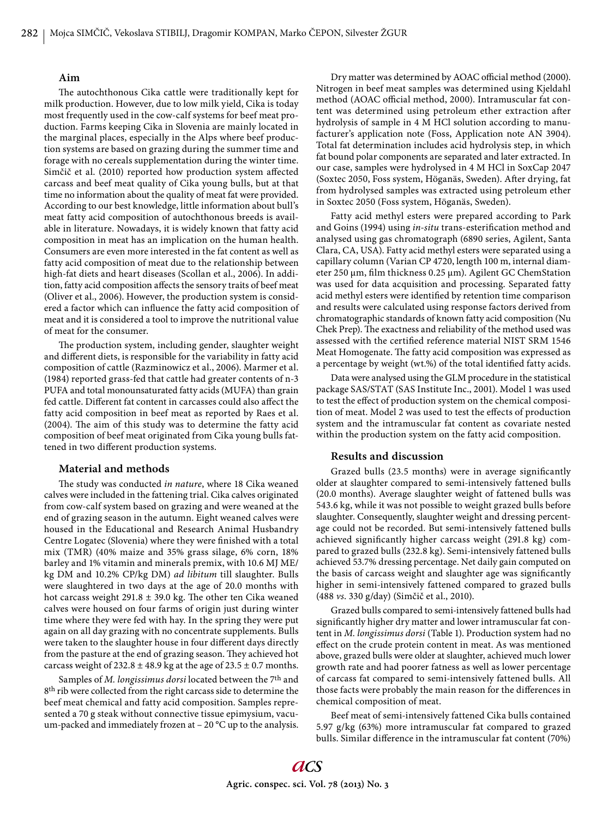# **Aim**

The autochthonous Cika cattle were traditionally kept for milk production. However, due to low milk yield, Cika is today most frequently used in the cow-calf systems for beef meat production. Farms keeping Cika in Slovenia are mainly located in the marginal places, especially in the Alps where beef production systems are based on grazing during the summer time and forage with no cereals supplementation during the winter time. Simčič et al. (2010) reported how production system affected carcass and beef meat quality of Cika young bulls, but at that time no information about the quality of meat fat were provided. According to our best knowledge, little information about bull's meat fatty acid composition of autochthonous breeds is available in literature. Nowadays, it is widely known that fatty acid composition in meat has an implication on the human health. Consumers are even more interested in the fat content as well as fatty acid composition of meat due to the relationship between high-fat diets and heart diseases (Scollan et al., 2006). In addition, fatty acid composition affects the sensory traits of beef meat (Oliver et al., 2006). However, the production system is considered a factor which can influence the fatty acid composition of meat and it is considered a tool to improve the nutritional value of meat for the consumer.

The production system, including gender, slaughter weight and different diets, is responsible for the variability in fatty acid composition of cattle (Razminowicz et al., 2006). Marmer et al. (1984) reported grass-fed that cattle had greater contents of n-3 PUFA and total monounsaturated fatty acids (MUFA) than grain fed cattle. Different fat content in carcasses could also affect the fatty acid composition in beef meat as reported by Raes et al. (2004). The aim of this study was to determine the fatty acid composition of beef meat originated from Cika young bulls fattened in two different production systems.

# **Material and methods**

The study was conducted *in nature*, where 18 Cika weaned calves were included in the fattening trial. Cika calves originated from cow-calf system based on grazing and were weaned at the end of grazing season in the autumn. Eight weaned calves were housed in the Educational and Research Animal Husbandry Centre Logatec (Slovenia) where they were finished with a total mix (TMR) (40% maize and 35% grass silage, 6% corn, 18% barley and 1% vitamin and minerals premix, with 10.6 MJ ME/ kg DM and 10.2% CP/kg DM) *ad libitum* till slaughter. Bulls were slaughtered in two days at the age of 20.0 months with hot carcass weight 291.8  $\pm$  39.0 kg. The other ten Cika weaned calves were housed on four farms of origin just during winter time where they were fed with hay. In the spring they were put again on all day grazing with no concentrate supplements. Bulls were taken to the slaughter house in four different days directly from the pasture at the end of grazing season. They achieved hot carcass weight of  $232.8 \pm 48.9$  kg at the age of  $23.5 \pm 0.7$  months.

Samples of *M. longissimus dorsi* located between the 7th and 8th rib were collected from the right carcass side to determine the beef meat chemical and fatty acid composition. Samples represented a 70 g steak without connective tissue epimysium, vacuum-packed and immediately frozen at – 20 °C up to the analysis.

Dry matter was determined by AOAC official method (2000). Nitrogen in beef meat samples was determined using Kjeldahl method (AOAC official method, 2000). Intramuscular fat content was determined using petroleum ether extraction after hydrolysis of sample in 4 M HCl solution according to manufacturer's application note (Foss, Application note AN 3904). Total fat determination includes acid hydrolysis step, in which fat bound polar components are separated and later extracted. In our case, samples were hydrolysed in 4 M HCl in SoxCap 2047 (Soxtec 2050, Foss system, Höganäs, Sweden). After drying, fat from hydrolysed samples was extracted using petroleum ether in Soxtec 2050 (Foss system, Höganäs, Sweden).

Fatty acid methyl esters were prepared according to Park and Goins (1994) using *in-situ* trans-esterification method and analysed using gas chromatograph (6890 series, Agilent, Santa Clara, CA, USA). Fatty acid methyl esters were separated using a capillary column (Varian CP 4720, length 100 m, internal diameter 250 μm, film thickness 0.25 μm). Agilent GC ChemStation was used for data acquisition and processing. Separated fatty acid methyl esters were identified by retention time comparison and results were calculated using response factors derived from chromatographic standards of known fatty acid composition (Nu Chek Prep). The exactness and reliability of the method used was assessed with the certified reference material NIST SRM 1546 Meat Homogenate. The fatty acid composition was expressed as a percentage by weight (wt.%) of the total identified fatty acids.

Data were analysed using the GLM procedure in the statistical package SAS/STAT (SAS Institute Inc., 2001). Model 1 was used to test the effect of production system on the chemical composition of meat. Model 2 was used to test the effects of production system and the intramuscular fat content as covariate nested within the production system on the fatty acid composition.

### **Results and discussion**

Grazed bulls (23.5 months) were in average significantly older at slaughter compared to semi-intensively fattened bulls (20.0 months). Average slaughter weight of fattened bulls was 543.6 kg, while it was not possible to weight grazed bulls before slaughter. Consequently, slaughter weight and dressing percentage could not be recorded. But semi-intensively fattened bulls achieved significantly higher carcass weight (291.8 kg) compared to grazed bulls (232.8 kg). Semi-intensively fattened bulls achieved 53.7% dressing percentage. Net daily gain computed on the basis of carcass weight and slaughter age was significantly higher in semi-intensively fattened compared to grazed bulls (488 *vs*. 330 g/day) (Simčič et al., 2010).

Grazed bulls compared to semi-intensively fattened bulls had significantly higher dry matter and lower intramuscular fat content in *M. longissimus dorsi* (Table 1). Production system had no effect on the crude protein content in meat. As was mentioned above, grazed bulls were older at slaughter, achieved much lower growth rate and had poorer fatness as well as lower percentage of carcass fat compared to semi-intensively fattened bulls. All those facts were probably the main reason for the differences in chemical composition of meat.

Beef meat of semi-intensively fattened Cika bulls contained 5.97 g/kg (63%) more intramuscular fat compared to grazed bulls. Similar difference in the intramuscular fat content (70%)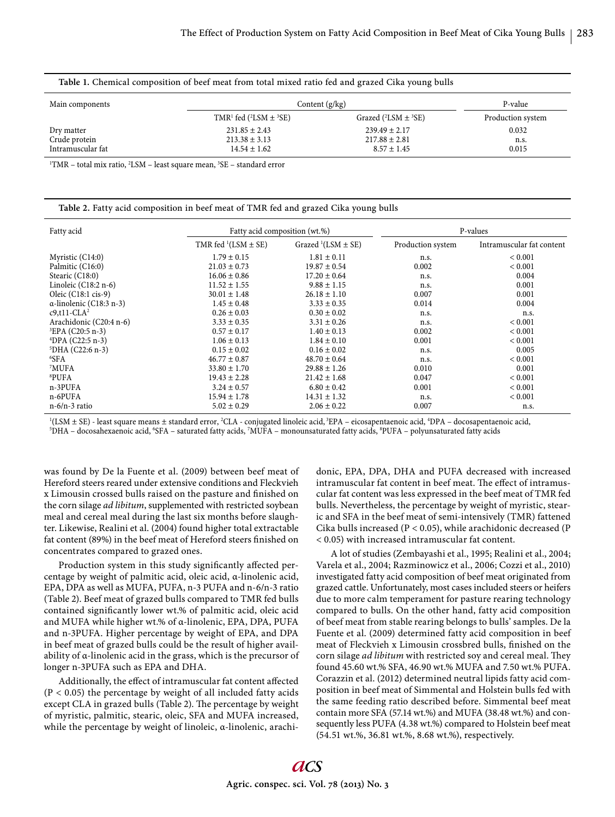| Table 1. Chemical composition of beef meat from total mixed ratio fed and grazed Cika young bulls |                                               |                                 |                   |  |  |  |
|---------------------------------------------------------------------------------------------------|-----------------------------------------------|---------------------------------|-------------------|--|--|--|
| Main components                                                                                   | Content $(g/kg)$                              | P-value                         |                   |  |  |  |
|                                                                                                   | TMR <sup>1</sup> fed $(^{2}LSM \pm {}^{3}SE)$ | Grazed $(^{2}LSM \pm {}^{3}SE)$ | Production system |  |  |  |
| Dry matter                                                                                        | $231.85 \pm 2.43$                             | $239.49 \pm 2.17$               | 0.032             |  |  |  |
| Crude protein                                                                                     | $213.38 \pm 3.13$                             | $217.88 \pm 2.81$               | n.s.              |  |  |  |
| Intramuscular fat                                                                                 | $14.54 \pm 1.62$                              | $8.57 \pm 1.45$                 | 0.015             |  |  |  |

 $1$ <sup>1</sup>TMR – total mix ratio,  $2$ LSM – least square mean,  $3$ SE – standard error

|  | Table 2. Fatty acid composition in beef meat of TMR fed and grazed Cika young bulls |  |  |  |
|--|-------------------------------------------------------------------------------------|--|--|--|
|--|-------------------------------------------------------------------------------------|--|--|--|

| Fatty acid                      | Fatty acid composition (wt.%) |                            | P-values          |                           |
|---------------------------------|-------------------------------|----------------------------|-------------------|---------------------------|
|                                 | TMR fed $(LSM \pm SE)$        | Grazed $^1$ (LSM $\pm$ SE) | Production system | Intramuscular fat content |
| Myristic (C14:0)                | $1.79 \pm 0.15$               | $1.81 \pm 0.11$            | n.s.              | ${}< 0.001$               |
| Palmitic (C16:0)                | $21.03 \pm 0.73$              | $19.87 \pm 0.54$           | 0.002             | ${}< 0.001$               |
| Stearic (C18:0)                 | $16.06 \pm 0.86$              | $17.20 \pm 0.64$           | n.s.              | 0.004                     |
| Linoleic $(C18:2 n-6)$          | $11.52 \pm 1.55$              | $9.88 \pm 1.15$            | n.s.              | 0.001                     |
| Oleic $(C18:1 \text{ cis-9})$   | $30.01 \pm 1.48$              | $26.18 \pm 1.10$           | 0.007             | 0.001                     |
| $\alpha$ -linolenic (C18:3 n-3) | $1.45 \pm 0.48$               | $3.33 \pm 0.35$            | 0.014             | 0.004                     |
| $c9, t11$ -CLA <sup>2</sup>     | $0.26 \pm 0.03$               | $0.30 \pm 0.02$            | n.s.              | n.s.                      |
| Arachidonic (C20:4 n-6)         | $3.33 \pm 0.35$               | $3.31 \pm 0.26$            | n.s.              | ${}< 0.001$               |
| ${}^{3}EPA$ (C20:5 n-3)         | $0.57 \pm 0.17$               | $1.40 \pm 0.13$            | 0.002             | ${}< 0.001$               |
| $^{4}$ DPA (C22:5 n-3)          | $1.06 \pm 0.13$               | $1.84 \pm 0.10$            | 0.001             | ${}< 0.001$               |
| $5$ DHA (C22:6 n-3)             | $0.15 \pm 0.02$               | $0.16 \pm 0.02$            | n.s.              | 0.005                     |
| ${}^{6}$ SFA                    | $46.77 \pm 0.87$              | $48.70 \pm 0.64$           | n.s.              | ${}< 0.001$               |
| <sup>7</sup> MUFA               | $33.80 \pm 1.70$              | $29.88 \pm 1.26$           | 0.010             | 0.001                     |
| <sup>8</sup> PUFA               | $19.43 \pm 2.28$              | $21.42 \pm 1.68$           | 0.047             | ${}< 0.001$               |
| n-3PUFA                         | $3.24 \pm 0.57$               | $6.80 \pm 0.42$            | 0.001             | ${}< 0.001$               |
| n-6PUFA                         | $15.94 \pm 1.78$              | $14.31 \pm 1.32$           | n.s.              | ${}< 0.001$               |
| $n-6/n-3$ ratio                 | $5.02 \pm 0.29$               | $2.06 \pm 0.22$            | 0.007             | n.s.                      |

<sup>1</sup>(LSM ± SE) - least square means ± standard error, <sup>2</sup>CLA - conjugated linoleic acid, <sup>3</sup>EPA – eicosapentaenoic acid, <sup>4</sup>DPA – docosapentaenoic acid,<br><sup>5</sup>DHA – docosabexaenoic acid, <sup>6</sup>SEA – saturated fatty acids, <sup>7</sup>MUEA

DHA – docosahexaenoic acid, <sup>6</sup>SFA – saturated fatty acids, <sup>7</sup>MUFA – monounsaturated fatty acids, <sup>8</sup>PUFA – polyunsaturated fatty acids

was found by De la Fuente et al. (2009) between beef meat of Hereford steers reared under extensive conditions and Fleckvieh x Limousin crossed bulls raised on the pasture and finished on the corn silage *ad libitum*, supplemented with restricted soybean meal and cereal meal during the last six months before slaughter. Likewise, Realini et al. (2004) found higher total extractable fat content (89%) in the beef meat of Hereford steers finished on concentrates compared to grazed ones.

Production system in this study significantly affected percentage by weight of palmitic acid, oleic acid, α-linolenic acid, EPA, DPA as well as MUFA, PUFA, n-3 PUFA and n-6/n-3 ratio (Table 2). Beef meat of grazed bulls compared to TMR fed bulls contained significantly lower wt.% of palmitic acid, oleic acid and MUFA while higher wt.% of α-linolenic, EPA, DPA, PUFA and n-3PUFA. Higher percentage by weight of EPA, and DPA in beef meat of grazed bulls could be the result of higher availability of α-linolenic acid in the grass, which is the precursor of longer n-3PUFA such as EPA and DHA.

Additionally, the effect of intramuscular fat content affected  $(P < 0.05)$  the percentage by weight of all included fatty acids except CLA in grazed bulls (Table 2). The percentage by weight of myristic, palmitic, stearic, oleic, SFA and MUFA increased, while the percentage by weight of linoleic, α-linolenic, arachidonic, EPA, DPA, DHA and PUFA decreased with increased intramuscular fat content in beef meat. The effect of intramuscular fat content was less expressed in the beef meat of TMR fed bulls. Nevertheless, the percentage by weight of myristic, stearic and SFA in the beef meat of semi-intensively (TMR) fattened Cika bulls increased (P < 0.05), while arachidonic decreased (P < 0.05) with increased intramuscular fat content.

A lot of studies (Zembayashi et al., 1995; Realini et al., 2004; Varela et al., 2004; Razminowicz et al., 2006; Cozzi et al., 2010) investigated fatty acid composition of beef meat originated from grazed cattle. Unfortunately, most cases included steers or heifers due to more calm temperament for pasture rearing technology compared to bulls. On the other hand, fatty acid composition of beef meat from stable rearing belongs to bulls' samples. De la Fuente et al. (2009) determined fatty acid composition in beef meat of Fleckvieh x Limousin crossbred bulls, finished on the corn silage *ad libitum* with restricted soy and cereal meal. They found 45.60 wt.% SFA, 46.90 wt.% MUFA and 7.50 wt.% PUFA. Corazzin et al. (2012) determined neutral lipids fatty acid composition in beef meat of Simmental and Holstein bulls fed with the same feeding ratio described before. Simmental beef meat contain more SFA (57.14 wt.%) and MUFA (38.48 wt.%) and consequently less PUFA (4.38 wt.%) compared to Holstein beef meat (54.51 wt.%, 36.81 wt.%, 8.68 wt.%), respectively.